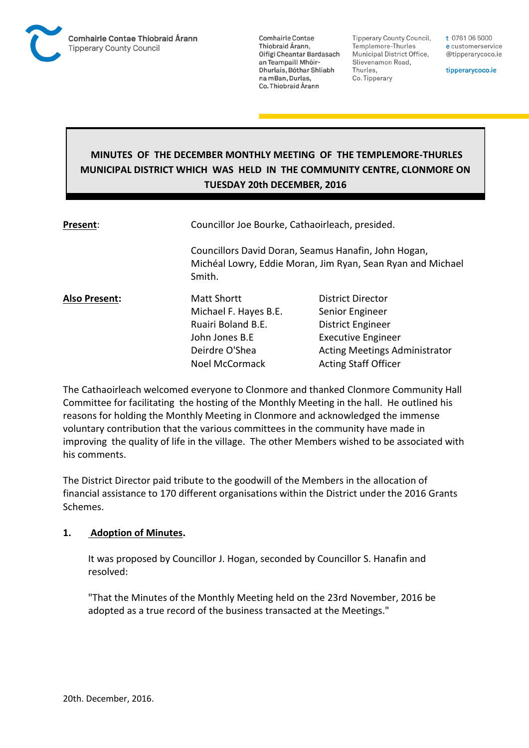

**Tipperary County Council,** Templemore-Thurles Municipal District Office, Slievenamon Road, Thurles, Co. Tipperary

t 0761 06 5000 e customerservice @tipperarycoco.ie

tipperarycoco.ie

# **MINUTES OF THE DECEMBER MONTHLY MEETING OF THE TEMPLEMORE-THURLES MUNICIPAL DISTRICT WHICH WAS HELD IN THE COMMUNITY CENTRE, CLONMORE ON TUESDAY 20th DECEMBER, 2016**

| Present:             | Councillor Joe Bourke, Cathaoirleach, presided.                                                                               |                                      |  |
|----------------------|-------------------------------------------------------------------------------------------------------------------------------|--------------------------------------|--|
|                      | Councillors David Doran, Seamus Hanafin, John Hogan,<br>Michéal Lowry, Eddie Moran, Jim Ryan, Sean Ryan and Michael<br>Smith. |                                      |  |
| <b>Also Present:</b> | <b>Matt Shortt</b>                                                                                                            | District Director                    |  |
|                      | Michael F. Hayes B.E.                                                                                                         | Senior Engineer                      |  |
|                      | Ruairi Boland B.E.                                                                                                            | District Engineer                    |  |
|                      | John Jones B.E                                                                                                                | <b>Executive Engineer</b>            |  |
|                      | Deirdre O'Shea                                                                                                                | <b>Acting Meetings Administrator</b> |  |
|                      | Noel McCormack                                                                                                                | <b>Acting Staff Officer</b>          |  |

The Cathaoirleach welcomed everyone to Clonmore and thanked Clonmore Community Hall Committee for facilitating the hosting of the Monthly Meeting in the hall. He outlined his reasons for holding the Monthly Meeting in Clonmore and acknowledged the immense voluntary contribution that the various committees in the community have made in improving the quality of life in the village. The other Members wished to be associated with his comments.

The District Director paid tribute to the goodwill of the Members in the allocation of financial assistance to 170 different organisations within the District under the 2016 Grants Schemes.

### **1. Adoption of Minutes.**

It was proposed by Councillor J. Hogan, seconded by Councillor S. Hanafin and resolved:

"That the Minutes of the Monthly Meeting held on the 23rd November, 2016 be adopted as a true record of the business transacted at the Meetings."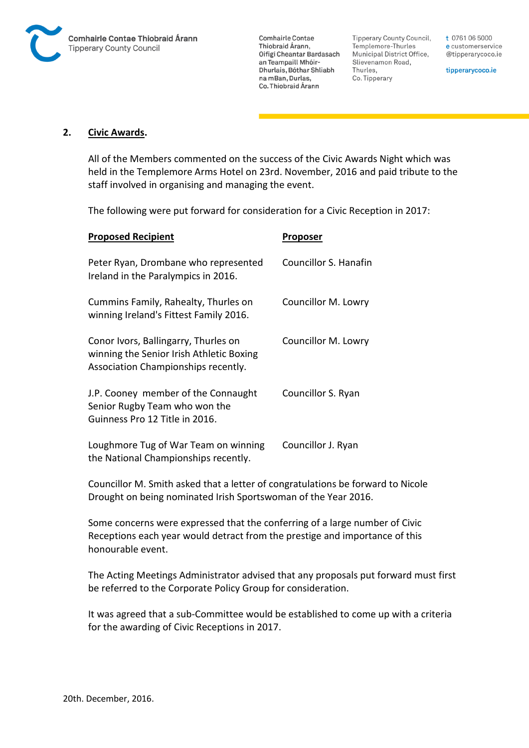

**Tipperary County Council,** Templemore-Thurles Municipal District Office, Slievenamon Road, Thurles, Co. Tipperary

t 0761 06 5000 e customerservice @tipperarycoco.ie

tipperarycoco.ie

#### **2. Civic Awards.**

All of the Members commented on the success of the Civic Awards Night which was held in the Templemore Arms Hotel on 23rd. November, 2016 and paid tribute to the staff involved in organising and managing the event.

The following were put forward for consideration for a Civic Reception in 2017:

| <b>Proposed Recipient</b>                                                                                               | Proposer              |
|-------------------------------------------------------------------------------------------------------------------------|-----------------------|
| Peter Ryan, Drombane who represented<br>Ireland in the Paralympics in 2016.                                             | Councillor S. Hanafin |
| Cummins Family, Rahealty, Thurles on<br>winning Ireland's Fittest Family 2016.                                          | Councillor M. Lowry   |
| Conor Ivors, Ballingarry, Thurles on<br>winning the Senior Irish Athletic Boxing<br>Association Championships recently. | Councillor M. Lowry   |
| J.P. Cooney member of the Connaught<br>Senior Rugby Team who won the<br>Guinness Pro 12 Title in 2016.                  | Councillor S. Ryan    |
| Loughmore Tug of War Team on winning<br>the National Championships recently.                                            | Councillor J. Ryan    |

Councillor M. Smith asked that a letter of congratulations be forward to Nicole Drought on being nominated Irish Sportswoman of the Year 2016.

Some concerns were expressed that the conferring of a large number of Civic Receptions each year would detract from the prestige and importance of this honourable event.

The Acting Meetings Administrator advised that any proposals put forward must first be referred to the Corporate Policy Group for consideration.

It was agreed that a sub-Committee would be established to come up with a criteria for the awarding of Civic Receptions in 2017.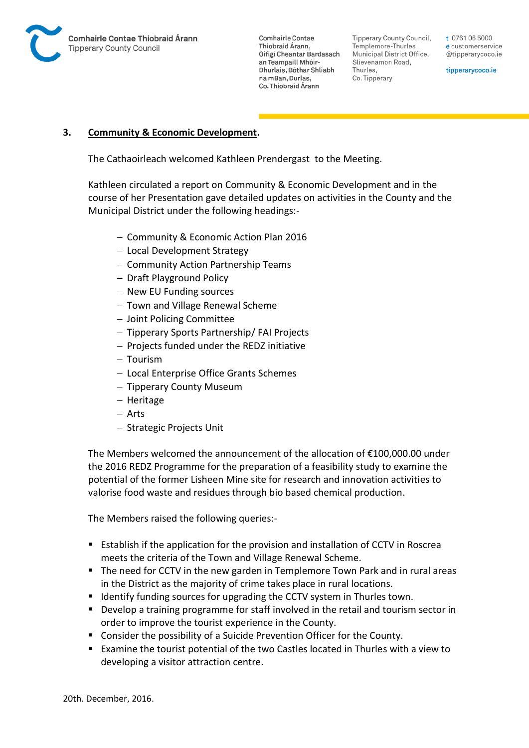

Tipperary County Council. Templemore-Thurles Municipal District Office, Slievenamon Road, Thurles, Co. Tipperary

t 0761 06 5000 e customerservice @tipperarycoco.ie

tipperarycoco.ie

### **3. Community & Economic Development.**

The Cathaoirleach welcomed Kathleen Prendergast to the Meeting.

Kathleen circulated a report on Community & Economic Development and in the course of her Presentation gave detailed updates on activities in the County and the Municipal District under the following headings:-

- Community & Economic Action Plan 2016
- Local Development Strategy
- Community Action Partnership Teams
- $-$  Draft Playground Policy
- New EU Funding sources
- Town and Village Renewal Scheme
- Joint Policing Committee
- Tipperary Sports Partnership/ FAI Projects
- $-$  Projects funded under the REDZ initiative
- $-$  Tourism
- Local Enterprise Office Grants Schemes
- Tipperary County Museum
- Heritage
- Arts
- Strategic Projects Unit

The Members welcomed the announcement of the allocation of €100,000.00 under the 2016 REDZ Programme for the preparation of a feasibility study to examine the potential of the former Lisheen Mine site for research and innovation activities to valorise food waste and residues through bio based chemical production.

The Members raised the following queries:-

- Establish if the application for the provision and installation of CCTV in Roscrea meets the criteria of the Town and Village Renewal Scheme.
- The need for CCTV in the new garden in Templemore Town Park and in rural areas in the District as the majority of crime takes place in rural locations.
- **If Identify funding sources for upgrading the CCTV system in Thurles town.**
- Develop a training programme for staff involved in the retail and tourism sector in order to improve the tourist experience in the County.
- Consider the possibility of a Suicide Prevention Officer for the County.
- Examine the tourist potential of the two Castles located in Thurles with a view to developing a visitor attraction centre.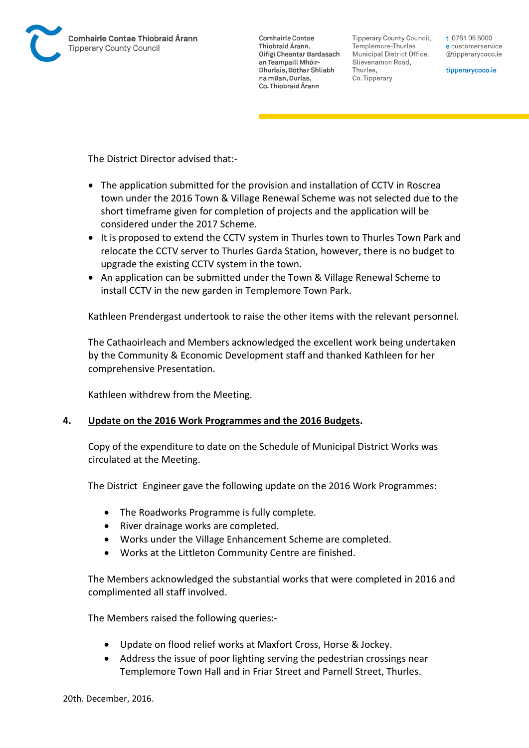

Tipperary County Council. Templemore-Thurles Municipal District Office, Slievenamon Road, Thurles, Co. Tipperary

t 0761 06 5000 e customerservice @tipperarycoco.ie

tipperarycoco.ie

The District Director advised that:-

- The application submitted for the provision and installation of CCTV in Roscrea town under the 2016 Town & Village Renewal Scheme was not selected due to the short timeframe given for completion of projects and the application will be considered under the 2017 Scheme.
- It is proposed to extend the CCTV system in Thurles town to Thurles Town Park and relocate the CCTV server to Thurles Garda Station, however, there is no budget to upgrade the existing CCTV system in the town.
- An application can be submitted under the Town & Village Renewal Scheme to install CCTV in the new garden in Templemore Town Park.

Kathleen Prendergast undertook to raise the other items with the relevant personnel.

The Cathaoirleach and Members acknowledged the excellent work being undertaken by the Community & Economic Development staff and thanked Kathleen for her comprehensive Presentation.

Kathleen withdrew from the Meeting.

### **4. Update on the 2016 Work Programmes and the 2016 Budgets.**

Copy of the expenditure to date on the Schedule of Municipal District Works was circulated at the Meeting.

The District Engineer gave the following update on the 2016 Work Programmes:

- The Roadworks Programme is fully complete.
- River drainage works are completed.
- Works under the Village Enhancement Scheme are completed.
- Works at the Littleton Community Centre are finished.

The Members acknowledged the substantial works that were completed in 2016 and complimented all staff involved.

The Members raised the following queries:-

- Update on flood relief works at Maxfort Cross, Horse & Jockey.
- Address the issue of poor lighting serving the pedestrian crossings near Templemore Town Hall and in Friar Street and Parnell Street, Thurles.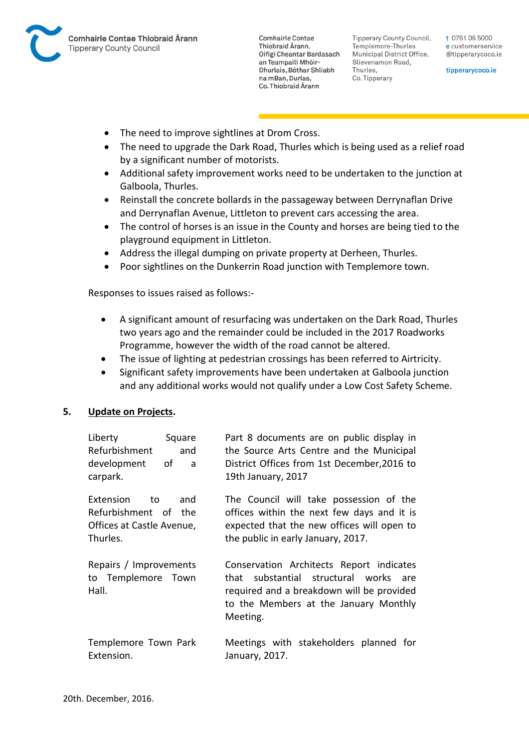

**Tipperary County Council,** Templemore-Thurles Municipal District Office, Slievenamon Road, Thurles, Co. Tipperary

t 0761 06 5000 e customerservice @tipperarycoco.ie

tipperarycoco.ie

- The need to improve sightlines at Drom Cross.
- The need to upgrade the Dark Road, Thurles which is being used as a relief road by a significant number of motorists.
- Additional safety improvement works need to be undertaken to the junction at Galboola, Thurles.
- Reinstall the concrete bollards in the passageway between Derrynaflan Drive and Derrynaflan Avenue, Littleton to prevent cars accessing the area.
- The control of horses is an issue in the County and horses are being tied to the playground equipment in Littleton.
- Address the illegal dumping on private property at Derheen, Thurles.
- Poor sightlines on the Dunkerrin Road junction with Templemore town.

Responses to issues raised as follows:-

- A significant amount of resurfacing was undertaken on the Dark Road, Thurles two years ago and the remainder could be included in the 2017 Roadworks Programme, however the width of the road cannot be altered.
- The issue of lighting at pedestrian crossings has been referred to Airtricity.
- Significant safety improvements have been undertaken at Galboola junction and any additional works would not qualify under a Low Cost Safety Scheme.

### **5. Update on Projects.**

| Liberty<br>Square<br>Refurbishment<br>and<br>development<br>of<br>a<br>carpark.         | Part 8 documents are on public display in<br>the Source Arts Centre and the Municipal<br>District Offices from 1st December, 2016 to<br>19th January, 2017                          |
|-----------------------------------------------------------------------------------------|-------------------------------------------------------------------------------------------------------------------------------------------------------------------------------------|
| Extension<br>and<br>to<br>Refurbishment of the<br>Offices at Castle Avenue,<br>Thurles. | The Council will take possession of the<br>offices within the next few days and it is<br>expected that the new offices will open to<br>the public in early January, 2017.           |
| Repairs / Improvements<br>to Templemore Town<br>Hall.                                   | Conservation Architects Report indicates<br>that substantial structural works are<br>required and a breakdown will be provided<br>to the Members at the January Monthly<br>Meeting. |
| Templemore Town Park<br>Extension.                                                      | Meetings with stakeholders planned for<br>January, 2017.                                                                                                                            |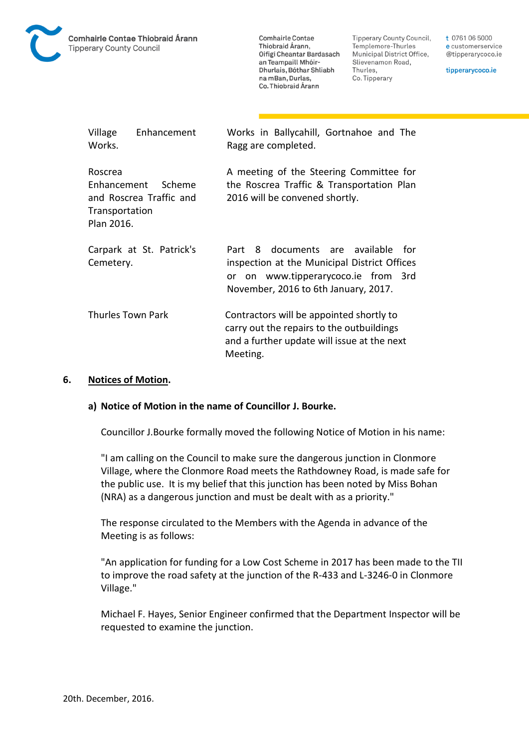

Tipperary County Council, Templemore-Thurles Municipal District Office, Slievenamon Road, Thurles, Co. Tipperary

t 0761 06 5000 e customerservice @tipperarycoco.ie

tipperarycoco.ie

| Village<br>Works.                                      | Enhancement                       | Works in Ballycahill, Gortnahoe and The<br>Ragg are completed.                                                                                                          |
|--------------------------------------------------------|-----------------------------------|-------------------------------------------------------------------------------------------------------------------------------------------------------------------------|
| Roscrea<br>Enhancement<br>Transportation<br>Plan 2016. | Scheme<br>and Roscrea Traffic and | A meeting of the Steering Committee for<br>the Roscrea Traffic & Transportation Plan<br>2016 will be convened shortly.                                                  |
| Cemetery.                                              | Carpark at St. Patrick's          | 8 documents are available<br>for<br>Part<br>inspection at the Municipal District Offices<br>or on www.tipperarycoco.ie from 3rd<br>November, 2016 to 6th January, 2017. |
| Thurles Town Park                                      |                                   | Contractors will be appointed shortly to<br>carry out the repairs to the outbuildings<br>and a further update will issue at the next<br>Meeting.                        |

#### **6. Notices of Motion.**

#### **a) Notice of Motion in the name of Councillor J. Bourke.**

Councillor J.Bourke formally moved the following Notice of Motion in his name:

"I am calling on the Council to make sure the dangerous junction in Clonmore Village, where the Clonmore Road meets the Rathdowney Road, is made safe for the public use. It is my belief that this junction has been noted by Miss Bohan (NRA) as a dangerous junction and must be dealt with as a priority."

The response circulated to the Members with the Agenda in advance of the Meeting is as follows:

"An application for funding for a Low Cost Scheme in 2017 has been made to the TII to improve the road safety at the junction of the R-433 and L-3246-0 in Clonmore Village."

Michael F. Hayes, Senior Engineer confirmed that the Department Inspector will be requested to examine the junction.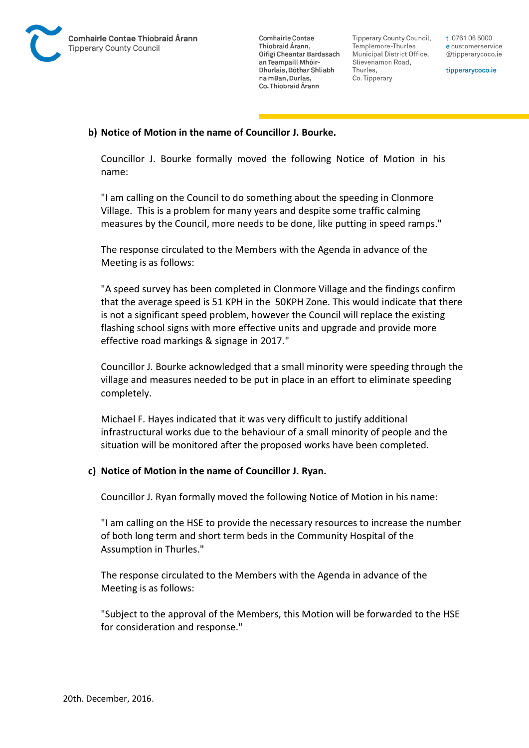

Tipperary County Council. Templemore-Thurles Municipal District Office, Slievenamon Road, Thurles, Co. Tipperary

t 0761 06 5000 e customerservice @tipperarycoco.ie

tipperarycoco.ie

### **b) Notice of Motion in the name of Councillor J. Bourke.**

Councillor J. Bourke formally moved the following Notice of Motion in his name:

"I am calling on the Council to do something about the speeding in Clonmore Village. This is a problem for many years and despite some traffic calming measures by the Council, more needs to be done, like putting in speed ramps."

The response circulated to the Members with the Agenda in advance of the Meeting is as follows:

"A speed survey has been completed in Clonmore Village and the findings confirm that the average speed is 51 KPH in the 50KPH Zone. This would indicate that there is not a significant speed problem, however the Council will replace the existing flashing school signs with more effective units and upgrade and provide more effective road markings & signage in 2017."

Councillor J. Bourke acknowledged that a small minority were speeding through the village and measures needed to be put in place in an effort to eliminate speeding completely.

Michael F. Hayes indicated that it was very difficult to justify additional infrastructural works due to the behaviour of a small minority of people and the situation will be monitored after the proposed works have been completed.

### **c) Notice of Motion in the name of Councillor J. Ryan.**

Councillor J. Ryan formally moved the following Notice of Motion in his name:

"I am calling on the HSE to provide the necessary resources to increase the number of both long term and short term beds in the Community Hospital of the Assumption in Thurles."

The response circulated to the Members with the Agenda in advance of the Meeting is as follows:

"Subject to the approval of the Members, this Motion will be forwarded to the HSE for consideration and response."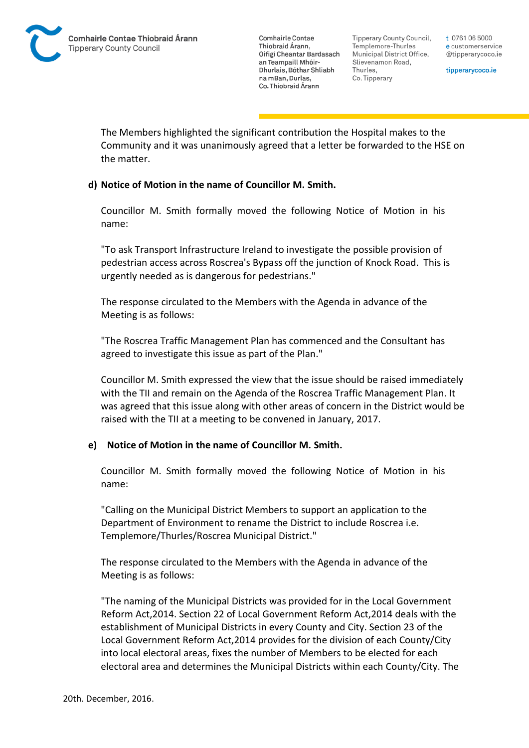Tipperary County Council. Templemore-Thurles Municipal District Office, Slievenamon Road, Thurles, Co. Tipperary

t 0761 06 5000 e customerservice @tipperarycoco.ie

tipperarycoco.ie

The Members highlighted the significant contribution the Hospital makes to the Community and it was unanimously agreed that a letter be forwarded to the HSE on the matter.

## **d) Notice of Motion in the name of Councillor M. Smith.**

Councillor M. Smith formally moved the following Notice of Motion in his name:

"To ask Transport Infrastructure Ireland to investigate the possible provision of pedestrian access across Roscrea's Bypass off the junction of Knock Road. This is urgently needed as is dangerous for pedestrians."

The response circulated to the Members with the Agenda in advance of the Meeting is as follows:

"The Roscrea Traffic Management Plan has commenced and the Consultant has agreed to investigate this issue as part of the Plan."

Councillor M. Smith expressed the view that the issue should be raised immediately with the TII and remain on the Agenda of the Roscrea Traffic Management Plan. It was agreed that this issue along with other areas of concern in the District would be raised with the TII at a meeting to be convened in January, 2017.

### **e) Notice of Motion in the name of Councillor M. Smith.**

Councillor M. Smith formally moved the following Notice of Motion in his name:

"Calling on the Municipal District Members to support an application to the Department of Environment to rename the District to include Roscrea i.e. Templemore/Thurles/Roscrea Municipal District."

The response circulated to the Members with the Agenda in advance of the Meeting is as follows:

"The naming of the Municipal Districts was provided for in the Local Government Reform Act,2014. Section 22 of Local Government Reform Act,2014 deals with the establishment of Municipal Districts in every County and City. Section 23 of the Local Government Reform Act,2014 provides for the division of each County/City into local electoral areas, fixes the number of Members to be elected for each electoral area and determines the Municipal Districts within each County/City. The